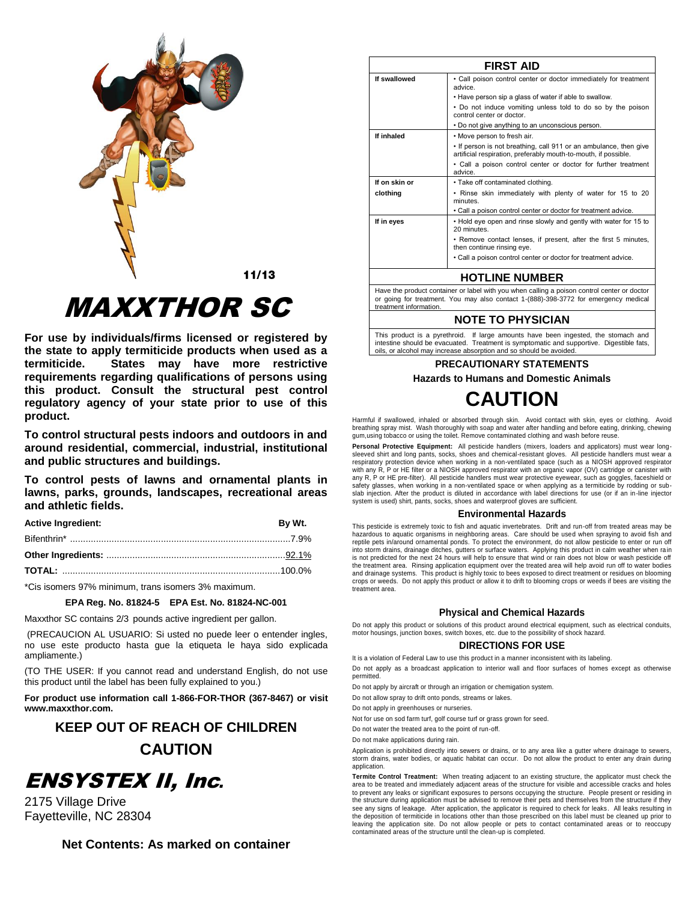

 $11/13$ 

# *MAXXTHOR SC*

For use by individuals/firms licensed or registered by the state to apply termiticide products when used as a termiticide. States may have more restrictive requirements regarding qualifications of persons using this product. Consult the structural pest control regulatory agency of your state prior to use of this product.

To control structural pests indoors and outdoors in and around residential, commercial, industrial, institutional and public structures and buildings.

To control pests of lawns and ornamental plants in lawns, parks, grounds, landscapes, recreational areas and athletic fields.

| <b>Active Ingredient:</b> | <b>By Wt</b> |
|---------------------------|--------------|
|                           |              |

\*Cis isomers 97% minimum, trans isomers 3% maximum.

# EPA Reg. No. 81824-5 EPA Est. No. 81824-NC-001

Maxxthor SC contains 2/3 pounds active ingredient per gallon.

(PRECAUCION AL USUARIO: Si usted no puede leer o entender ingles, no use este producto hasta gue la etiqueta le haya sido explicada ampliamente.)

(TO THE USER: If you cannot read and understand English, do not use this product until the label has been fully explained to you.)

For product use information call 1-866-FOR-THOR (367-8467) or visit www.maxxthor.com.

# **KEEP OUT OF REACH OF CHILDREN CAUTION**

# **ENSYSTEX II, Inc.**

2175 Village Drive Fayetteville, NC 28304

Net Contents: As marked on container

|               | <b>FIRST AID</b>                                                                                                                     |
|---------------|--------------------------------------------------------------------------------------------------------------------------------------|
| If swallowed  | • Call poison control center or doctor immediately for treatment<br>advice.                                                          |
|               | . Have person sip a glass of water if able to swallow.                                                                               |
|               | • Do not induce vomiting unless told to do so by the poison<br>control center or doctor.                                             |
|               | • Do not give anything to an unconscious person.                                                                                     |
| If inhaled    | • Move person to fresh air.                                                                                                          |
|               | • If person is not breathing, call 911 or an ambulance, then give<br>artificial respiration, preferably mouth-to-mouth, if possible. |
|               | • Call a poison control center or doctor for further treatment<br>advice.                                                            |
| If on skin or | • Take off contaminated clothing.                                                                                                    |
| clothing      | . Rinse skin immediately with plenty of water for 15 to 20<br>minutes                                                                |
|               | . Call a poison control center or doctor for treatment advice.                                                                       |
| If in eyes    | • Hold eye open and rinse slowly and gently with water for 15 to<br>20 minutes                                                       |
|               | • Remove contact lenses, if present, after the first 5 minutes,<br>then continue rinsing eye.                                        |
|               | . Call a poison control center or doctor for treatment advice.                                                                       |
|               | <b>HOTLINE NUMBER</b>                                                                                                                |
|               | Houghton product container or lobal with you when colling a poison control conter or doctor                                          |

or going for treatment. You may also contact 1-(888)-398-3772 for emergency medical treatment information.

# **NOTE TO PHYSICIAN**

This product is a pyrethroid. If large amounts have been ingested, the stomach and intestine should be evacuated. Treatment is symptomatic and supportive. Digestible fats, oils, or alcohol may increase absorption and so should be avoided

# PRECAUTIONARY STATEMENTS

**Hazards to Humans and Domestic Animals** 

# **CAUTION**

Harmful if swallowed, inhaled or absorbed through skin. Avoid contact with skin, eyes or clothing. Avoid breathing spray mist. Wash thoroughly with soap and water after handling and before eating, drinking, chewing gum, using tobacco or using the toilet. Remove contaminated clothing and wash before reuse

Personal Protective Equipment: All pesticide handlers (mixers, loaders and applicators) must wear longsleeved shirt and long pants, socks, shoes and chemical-resistant gloves. All pesticide handlers must wear a respiratory protection device when working in a non-ventilated space (such as a NIOSH approved respirator with any R, P or HE filter or a NIOSH approved respirator with an organic vapor (OV) cartridge or canister with any R, P or HE pre-filter). All pesticide handlers must wear protective eyewear, such as goggles, faceshield or safety glasses, when working in a non-ventilated space or when applying as a termiticide by rodding or sub-<br>slab injection. After the product is diluted in accordance with label directions for use (or if an in-line injecto system is used) shirt, pants, socks, shoes and waterproof gloves are sufficient.

# **Environmental Hazards**

This pesticide is extremely toxic to fish and aquatic invertebrates. Drift and run-off from treated areas may be hazardous to aquatic organisms in neighboring areas. Care should be used when spraying to avoid fish and reptile pets in/around ornamental ponds. To protect the environment, do not allow pesticide to enter or run off into storm drains, drainage ditches, gutters or surface waters. Applying this product in calm weather when rain is not predicted for the next 24 hours will help to ensure that wind or rain does not blow or wash pesticide off<br>the treatment area. Rinsing application equipment over the treated area will help avoid run off to water bodi and drainage systems. This product is highly toxic to bees exposed to direct treatment or residues on blooming crops or weeds. Do not apply this product or allow it to drift to blooming crops or weeds if bees are visiting the treatment area.

# **Physical and Chemical Hazards**

Do not apply this product or solutions of this product around electrical equipment, such as electrical conduits, motor housings, junction boxes, switch boxes, etc. due to the possibility of shock hazard.

# **DIRECTIONS FOR USE**

It is a violation of Federal Law to use this product in a manner inconsistent with its labeling.

Do not apply as a broadcast application to interior wall and floor surfaces of homes except as otherwise permitted.

Do not apply by aircraft or through an irrigation or chemigation system.

Do not allow spray to drift onto ponds, streams or lakes.

Do not apply in greenhouses or nurseries.

Not for use on sod farm turf, golf course turf or grass grown for seed.

Do not water the treated area to the point of run-off.

Do not make applications during rain.

Application is prohibited directly into sewers or drains, or to any area like a gutter where drainage to sewers, storm drains, water bodies, or aquatic habitat can occur. Do not allow the product to enter any drain during application.

Termite Control Treatment: When treating adjacent to an existing structure, the applicator must check the area to be treated and immediately adjacent areas of the structure for visible and accessible cracks and holes to prevent any leaks or significant exposures to persons occupying the structure. People present or residing in the structure during application must be advised to remove their pets and themselves from the structure if they see any signs of leakage. After application, the applicator is required to check for leaks. All leaks resulting in the deposition of termiticide in locations other than those prescribed on this label must be cleaned up prior to leaving the application site. Do not allow people or pets to contact contaminated areas or to reoccupy contaminated areas of the structure until the clean-up is completed.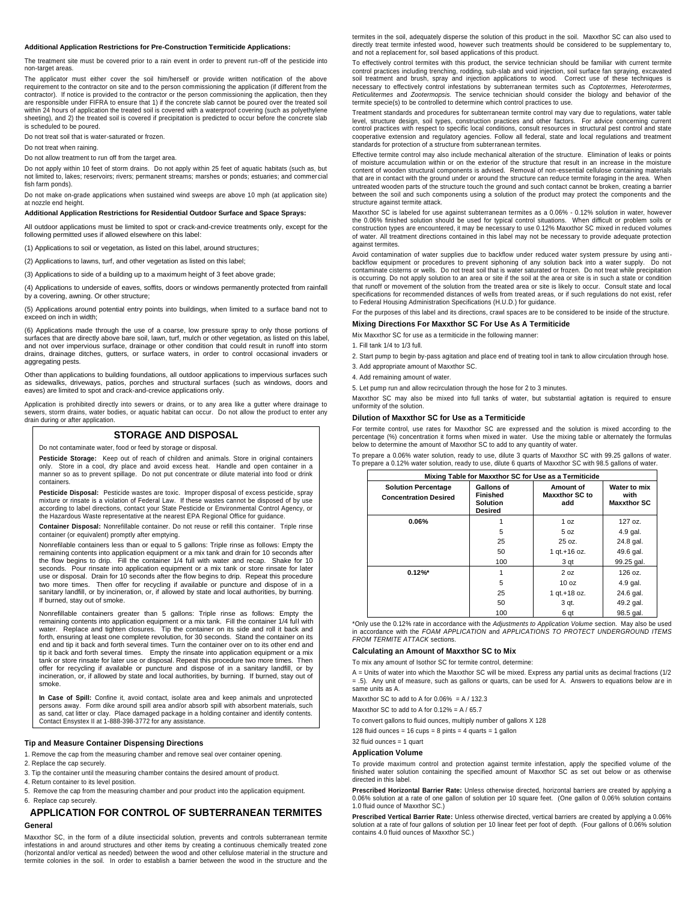#### **Additional Application Restrictions for Pre-Construction Termiticide Applications:**

The treatment site must be covered prior to a rain event in order to prevent run-off of the pesticide into non-target areas.

The applicator must either cover the soil him/herself or provide written notification of the above requirement to the contractor on site and to the person commissioning the application (if different from the contractor). If notice is provided to the contractor or the person commissioning the application, then they are responsible under FIFRA to ensure that 1) if the concrete slab cannot be poured over the treated soil within 24 hours of application the treated soil is covered with a waterproof covering (such as polyethylene sheeting), and 2) the treated soil is covered if precipitation is predicted to occur before the concrete slab is scheduled to be poured.

Do not treat soil that is water-saturated or frozen.

Do not treat when raining.

Do not allow treatment to run off from the target area.

Do not apply within 10 feet of storm drains. Do not apply within 25 feet of aquatic habitats (such as, but not limited to, lakes; reservoirs; rivers; permanent streams; marshes or ponds; estuaries; and commer cial fish farm ponds).

Do not make on-grade applications when sustained wind sweeps are above 10 mph (at application site) at nozzle end height.

#### **Additional Application Restrictions for Residential Outdoor Surface and Space Sprays:**

All outdoor applications must be limited to spot or crack-and-crevice treatments only, except for the following permitted uses if allowed elsewhere on this label:

(1) Applications to soil or vegetation, as listed on this label, around structures;

(2) Applications to lawns, turf, and other vegetation as listed on this label;

(3) Applications to side of a building up to a maximum height of 3 feet above grade;

(4) Applications to underside of eaves, soffits, doors or windows permanently protected from rainfall by a covering, awning. Or other structure;

(5) Applications around potential entry points into buildings, when limited to a surface band not to exceed on inch in width;

(6) Applications made through the use of a coarse, low pressure spray to only those portions of surfaces that are directly above bare soil, lawn, turf, mulch or other vegetation, as listed on this label,<br>and not over impervious surface, drainage or other condition that could result in runoff into storm drains, drainage ditches, gutters, or surface waters, in order to control occasional invaders or aggregating pests.

Other than applications to building foundations, all outdoor applications to impervious surfaces such as sidewalks, driveways, patios, porches and structural surfaces (such as windows, doors and eaves) are limited to spot and crack-and-crevice applications only.

Application is prohibited directly into sewers or drains, or to any area like a gutter where drainage to sewers, storm drains, water bodies, or aquatic habitat can occur. Do not allow the product to enter any drain during or after application.

# **STORAGE AND DISPOSAL**

Do not contaminate water, food or feed by storage or disposal.

**Pesticide Storage:** Keep out of reach of children and animals. Store in original containers only. Store in a cool, dry place and avoid excess heat. Handle and open container in a manner so as to prevent spillage. Do not put concentrate or dilute material into food or drink containers.

**Pesticide Disposal:** Pesticide wastes are toxic. Improper disposal of excess pesticide, spray mixture or rinsate is a violation of Federal Law. If these wastes cannot be disposed of by use according to label directions, contact your State Pesticide or Environmental Control Agency, or the Hazardous Waste representative at the nearest EPA Regional Office for guidance.

**Container Disposal:** Nonrefillable container. Do not reuse or refill this container. Triple rinse container (or equivalent) promptly after emptying.

Nonrefilable containers less than or equal to 5 gallons: Triple rinse as follows: Empty the remaining contents into application equipment or a mix tank and drain for 10 seconds after the flow begins to drip. Fill the container 1/4 full with water and recap. Shake for 10 seconds. Pour rinsate into application equipment or a mix tank or store rinsate for later use or disposal. Drain for 10 seconds after the flow begins to drip. Repeat this procedure two more times. Then offer for recycling if available or puncture and dispose of in a sanitary landfill, or by incineration, or, if allowed by state and local authorities, by burning. If burned, stay out of smoke.

Nonrefillable containers greater than 5 gallons: Triple rinse as follows: Empty the remaining contents into application equipment or a mix tank. Fill the container 1/4 full with water. Replace and tighten closures. Tip the container on its side and roll it back and forth, ensuring at least one complete revolution, for 30 seconds. Stand the container on its end and tip it back and forth several times. Turn the container over on to its other end and tip it back and forth several times. Empty the rinsate into application equipment or a mix tank or store rinsate for later use or disposal. Repeat this procedure two more times. Then offer for recycling if available or puncture and dispose of in a sanitary landfill, or by incineration, or, if allowed by state and local authorities, by burning. If burned, stay out of smoke.

**In Case of Spill:** Confine it, avoid contact, isolate area and keep animals and unprotected persons away. Form dike around spill area and/or absorb spill with absorbent materials, such as sand, cat litter or clay. Place damaged package in a holding container and identify contents. Contact Ensystex II at 1-888-398-3772 for any assistance.

#### **Tip and Measure Container Dispensing Directions**

1. Remove the cap from the measuring chamber and remove seal over container opening.

- 2. Replace the cap securely.
- 3. Tip the container until the measuring chamber contains the desired amount of product.
- 4. Return container to its level position.
- 5. Remove the cap from the measuring chamber and pour product into the application equipment.
- 6. Replace cap securely.

# **APPLICATION FOR CONTROL OF SUBTERRANEAN TERMITES General**

Maxxthor SC, in the form of a dilute insecticidal solution, prevents and controls subterranean termite infestations in and around structures and other items by creating a continuous chemically treated zone (horizontal and/or vertical as needed) between the wood and other cellulose material in the structure and termite colonies in the soil. In order to establish a barrier between the wood in the structure and the termites in the soil, adequately disperse the solution of this product in the soil. Maxxthor SC can also used to directly treat termite infested wood, however such treatments should be considered to be supplementary to, and not a replacement for, soil based applications of this product.

To effectively control termites with this product, the service technician should be familiar with current termite control practices including trenching, rodding, sub-slab and void injection, soil surface fan spraying, excavated soil treatment and brush, spray and injection applications to wood. Correct use of these techniques is necessary to effectively control infestations by subterranean termites such as *Coptotermes, Heterotermes, Reticulitermes* and *Zootermopsis.* The service technician should consider the biology and behavior of the termite specie(s) to be controlled to determine which control practices to use.

Treatment standards and procedures for subterranean termite control may vary due to regulations, water table level, structure design, soil types, construction practices and other factors. For advice concerning current control practices with respect to specific local conditions, consult resources in structural pest control and state cooperative extension and regulatory agencies. Follow all federal, state and local regulations and treatment<br>standards for protection of a structure from subterranean termites.

Effective termite control may also include mechanical alteration of the structure. Elimination of leaks or points of moisture accumulation within or on the exterior of the structure that result in an increase in the moisture content of wooden structural components is advised. Removal of non-essential cellulose containing materials that are in contact with the ground under or around the structure can reduce termite foraging in the area. When untreated wooden parts of the structure touch the ground and such contact cannot be broken, creating a barrier between the soil and such components using a solution of the product may protect the components and the structure against termite attack.

Maxxthor SC is labeled for use against subterranean termites as a 0.06% - 0.12% solution in water, however the 0.06% finished solution should be used for typical control situations. When difficult or problem soils or construction types are encountered, it may be necessary to use 0.12% Maxxthor SC mixed in reduced volumes of water. All treatment directions contained in this label may not be necessary to provide adequate protection against termites.

Avoid contamination of water supplies due to backflow under reduced water system pressure by using anti-backflow equipment or procedures to prevent siphoning of any solution back into a water supply. Do not contaminate cisterns or wells. Do not treat soil that is water saturated or frozen. Do not treat while precipitation is occurring. Do not apply solution to an area or site if the soil at the area or site is in such a state or condition that runoff or movement of the solution from the treated area or site is likely to occur. Consult state and local specifications for recommended distances of wells from treated areas, or if such regulations do not exist, refer to Federal Housing Administration Specifications (H.U.D.) for guidance.

For the purposes of this label and its directions, crawl spaces are to be considered to be inside of the structure.

#### **Mixing Directions For Maxxthor SC For Use As A Termiticide**

Mix Maxxthor SC for use as a termiticide in the following manner:

1. Fill tank 1/4 to 1/3 full.

2. Start pump to begin by-pass agitation and place end of treating tool in tank to allow circulation through hose. 3. Add appropriate amount of Maxxthor SC.

4. Add remaining amount of water.

5. Let pump run and allow recirculation through the hose for 2 to 3 minutes.

Maxxthor SC may also be mixed into full tanks of water, but substantial agitation is required to ensure uniformity of the solution.

#### **Dilution of Maxxthor SC for Use as a Termiticide**

For termite control, use rates for Maxxthor SC are expressed and the solution is mixed according to the percentage (%) concentration it forms when mixed in water. Use the mixing table or alternately the formulas below to determine the amount of Maxxthor SC to add to any quantity of water

To prepare a 0.06% water solution, ready to use, dilute 3 quarts of Maxxthor SC with 99.25 gallons of water. To prepare a 0.12% water solution, ready to use, dilute 6 quarts of Maxxthor SC with 98.5 gallons of water.

| Mixing Table for Maxxthor SC for Use as a Termiticide      |                                                             |                                           |                                            |  |
|------------------------------------------------------------|-------------------------------------------------------------|-------------------------------------------|--------------------------------------------|--|
| <b>Solution Percentage</b><br><b>Concentration Desired</b> | Gallons of<br>Finished<br><b>Solution</b><br><b>Desired</b> | Amount of<br><b>Maxxthor SC to</b><br>add | Water to mix<br>with<br><b>Maxxthor SC</b> |  |
| 0.06%                                                      |                                                             | 1 oz                                      | 127 oz.                                    |  |
|                                                            | 5                                                           | 5 oz                                      | 4.9 gal.                                   |  |
|                                                            | 25                                                          | 25 oz.                                    | 24.8 gal.                                  |  |
|                                                            | 50                                                          | 1 gt.+16 oz.                              | 49.6 gal.                                  |  |
|                                                            | 100                                                         | 3 qt                                      | 99.25 gal.                                 |  |
| $0.12\%$ *                                                 |                                                             | 2 oz                                      | 126 oz.                                    |  |
|                                                            | 5                                                           | 10 oz                                     | 4.9 gal.                                   |  |
|                                                            | 25                                                          | 1 gt.+18 oz.                              | 24.6 gal.                                  |  |
|                                                            | 50                                                          | 3 qt.                                     | 49.2 gal.                                  |  |
|                                                            | 100                                                         | 6 qt                                      | 98.5 gal.                                  |  |

\*Only use the 0.12% rate in accordance with the *Adjustments to Application Volume* section. May also be used in accordance with the *FOAM APPLICATION* and *APPLICATIONS TO PROTECT UNDERGROUND ITEMS FROM TERMITE ATTACK* sections.

#### **Calculating an Amount of Maxxthor SC to Mix**

To mix any amount of Isothor SC for termite control, determine:

A = Units of water into which the Maxxthor SC will be mixed. Express any partial units as decimal fractions (1/2 = .5). Any unit of measure, such as gallons or quarts, can be used for A. Answers to equations below are in same units as A.

Maxxthor SC to add to A for  $0.06\% = A / 132.3$ 

Maxxthor SC to add to A for  $0.12\% = A / 65.7$ 

To convert gallons to fluid ounces, multiply number of gallons X 128

128 fluid ounces = 16 cups =  $8$  pints =  $4$  quarts =  $1$  gallon

32 fluid ounces = 1 quart

#### **Application Volume**

To provide maximum control and protection against termite infestation, apply the specified volume of the finished water solution containing the specified amount of Maxxthor SC as set out below or as otherwise directed in this label.

**Prescribed Horizontal Barrier Rate:** Unless otherwise directed, horizontal barriers are created by applying a 0.06% solution at a rate of one gallon of solution per 10 square feet. (One gallon of 0.06% solution contains 1.0 fluid ounce of Maxxthor SC.)

**Prescribed Vertical Barrier Rate:** Unless otherwise directed, vertical barriers are created by applying a 0.06%<br>solution at a rate of four gallons of solution per 10 linear feet per foot of depth. (Four gallons of 0.06% s contains 4.0 fluid ounces of Maxxthor SC.)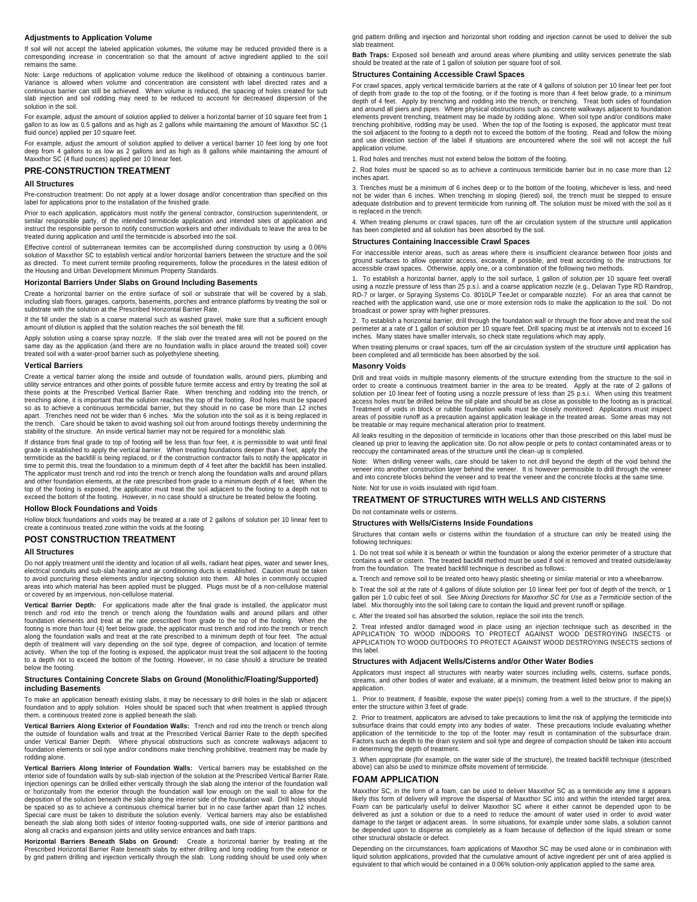# **Adjustments to Application Volume**

If soil will not accept the labeled application volumes, the volume may be reduced provided there is a corresponding increase in concentration so that the amount of active ingredient applied to the soil remains the same.

Note: Large reductions of application volume reduce the likelihood of obtaining a continuous barrier. Variance is allowed when volume and concentration are consistent with label directed rates and a continuous barrier can still be achieved. When volume is reduced, the spacing of holes created for sub slab injection and soil rodding may need to be reduced to account for decreased dispersion of the solution in the soil.

For example, adjust the amount of solution applied to deliver a horizontal barrier of 10 square feet from gallon to as low as 0.5 gallons and as high as 2 gallons while maintaining the amount of Maxxthor SC (1 fluid ounce) applied per 10 square feet.

For example, adjust the amount of solution applied to deliver a vertical barrier 10 feet long by one foot deep from 4 gallons to as low as 2 gallons and as high as 8 gallons while maintaining the amount of Maxxthor SC (4 fluid ounces) applied per 10 linear feet.

#### **PRE-CONSTRUCTION TREATMENT**

#### **All Structures**

Pre-construction treatment: Do not apply at a lower dosage and/or concentration than specified on this label for applications prior to the installation of the finished grade.

Prior to each application, applicators must notify the general contractor, construction superintendent, or similar responsible party, of the intended termiticide application and intended sites of application and instruct the responsible person to notify construction workers and other individuals to leave the area to be treated during application and until the termiticide is absorbed into the soil.

Effective control of subterranean termites can be accomplished during construction by using a 0.06% solution of Maxxthor SC to establish vertical and/or horizontal barriers between the structure and the soil as directed. To meet current termite proofing requirements, follow the procedures in the latest edition of the Housing and Urban Development Minimum Property Standards.

#### **Horizontal Barriers Under Slabs on Ground Including Basements**

Create a horizontal barrier on the entire surface of soil or substrate that will be covered by a slab, including slab floors, garages, carports, basements, porches and entrance platforms by treating the soil or substrate with the solution at the Prescribed Horizontal Barrier Rate.

If the fill under the slab is a coarse material such as washed gravel, make sure that a sufficient enough amount of dilution is applied that the solution reaches the soil beneath the fill.

Apply solution using a coarse spray nozzle. If the slab over the treated area will not be poured on the same day as the application (and there are no foundation walls in place around the treated soil) cover treated soil with a water-proof barrier such as polyethylene sheeting.

#### **Vertical Barriers**

Create a vertical barrier along the inside and outside of foundation walls, around piers, plumbing and utility service entrances and other points of possible future termite access and entry by treating the soil at these points at the Prescribed Vertical Barrier Rate. When trenching and rodding into the trench, or trenching alone, it is important that the solution reaches the top of the footing. Rod holes must be spaced so as to achieve a continuous termiticidal barrier, but they should in no case be more than 12 inches apart. Trenches need not be wider than 6 inches. Mix the solution into the soil as it is being replaced in the trench. Care should be taken to avoid washing soil out from around footings thereby undermining the stability of the structure. An inside vertical barrier may not be required for a monolithic slab.

If distance from final grade to top of footing will be less than four feet, it is permissible to wait until final grade is established to apply the vertical barrier. When treating foundations deeper than 4 feet, apply the termiticide as the backfill is being replaced, or if the construction contractor fails to notify the applicator in time to permit this, treat the foundation to a minimum depth of 4 feet after the backfill has been installed. The applicator must trench and rod into the trench or trench along the foundation walls and around pillars and other foundation elements, at the rate prescribed from grade to a minimum depth of 4 feet. When the top of the footing is exposed, the applicator must treat the soil adjacent to the footing to a depth not to exceed the bottom of the footing. However, in no case should a structure be treated below the footing.

### **Hollow Block Foundations and Voids**

Hollow block foundations and voids may be treated at a rate of 2 gallons of solution per 10 linear feet to create a continuous treated zone within the voids at the footing.

# **POST CONSTRUCTION TREATMENT**

#### **All Structures**

Do not apply treatment until the identity and location of all wells, radiant heat pipes, water and sewer lines, electrical conduits and sub-slab heating and air conditioning ducts is established. Caution must be taken to avoid puncturing these elements and/or injecting solution into them. All holes in commonly occupied areas into which material has been applied must be plugged. Plugs must be of a non-cellulose material or covered by an impervious, non-cellulose material.

**Vertical Barrier Depth:** For applications made after the final grade is installed, the applicator must trench and rod into the trench or trench along the foundation walls and around pillars and other foundation elements and treat at the rate prescribed from grade to the top of the footing. When the footing is more than four (4) feet below grade, the applicator must trench and rod into the trench or trench along the foundation walls and treat at the rate prescribed to a minimum depth of four feet. The actual depth of treatment will vary depending on the soil type, degree of compaction, and location of termite activity. When the top of the footing is exposed, the applicator must treat the soil adjacent to the footing to a depth not to exceed the bottom of the footing. However, in no case should a structure be treated below the footing.

#### **Structures Containing Concrete Slabs on Ground (Monolithic/Floating/Supported) including Basements**

To make an application beneath existing slabs, it may be necessary to drill holes in the slab or adjacent foundation and to apply solution. Holes should be spaced such that when treatment is applied through them, a continuous treated zone is applied beneath the slab.

**Vertical Barriers Along Exterior of Foundation Walls:** Trench and rod into the trench or trench along the outside of foundation walls and treat at the Prescribed Vertical Barrier Rate to the depth specified under Vertical Barrier Depth. Where physical obstructions such as concrete walkways adjacent to foundation elements or soil type and/or conditions make trenching prohibitive, treatment may be made by rodding alone.

**Vertical Barriers Along Interior of Foundation Walls:** Vertical barriers may be established on the interior side of foundation walls by sub-slab injection of the solution at the Prescribed Vertical Barrier Rate. Injection openings can be drilled either vertically through the slab along the interior of the foundation wall or horizontally from the exterior through the foundation wall low enough on the wall to allow for the deposition of the solution beneath the slab along the interior side of the foundation wall. Drill holes should be spaced so as to achieve a continuous chemical barrier but in no case farther apart than 12 inches. Special care must be taken to distribute the solution evenly. Vertical barriers may also be established beneath the slab along both sides of interior footing-supported walls, one side of interior partitions and along all cracks and expansion joints and utility service entrances and bath traps.

**Horizontal Barriers Beneath Slabs on Ground:** Create a horizontal barrier by treating at the Prescribed Horizontal Barrier Rate beneath slabs by either drilling and long rodding from the exterior or by grid pattern drilling and injection vertically through the slab. Long rodding should be used only when grid pattern drilling and injection and horizontal short rodding and injection cannot be used to deliver the sub slab treatment.

Bath Traps: Exposed soil beneath and around areas where plumbing and utility services penetrate the slab should be treated at the rate of 1 gallon of solution per square foot of soil.

#### **Structures Containing Accessible Crawl Spaces**

For crawl spaces, apply vertical termiticide barriers at the rate of 4 gallons of solution per 10 linear feet per foot of depth from grade to the top of the footing, or if the footing is more than 4 feet below grade, to a minimum depth of 4 feet. Apply by trenching and rodding into the trench, or trenching. Treat both sides of foundation and around all piers and pipes. Where physical obstructions such as concrete walkways adjacent to foundation elements prevent trenching, treatment may be made by rodding alone. When soil type and/or conditions make trenching prohibitive, rodding may be used. When the top of the footing is exposed, the applicator must treat the soil adjacent to the footing to a depth not to exceed the bottom of the footing. Read and follow the mixing and use direction section of the label if situations are encountered where the soil will not accept the full application volume.

1. Rod holes and trenches must not extend below the bottom of the footing.

2. Rod holes must be spaced so as to achieve a continuous termiticide barrier but in no case more than 12 inches apart.

3. Trenches must be a minimum of 6 inches deep or to the bottom of the footing, whichever is less, and need not be wider than 6 inches. When trenching in sloping (tiered) soil, the trench must be stepped to ensure adequate distribution and to prevent termiticide from running off. The solution must be mixed with the soil as it is replaced in the trench.

4. When treating plenums or crawl spaces, turn off the air circulation system of the structure until application has been completed and all solution has been absorbed by the soil.

#### **Structures Containing Inaccessible Crawl Spaces**

For inaccessible interior areas, such as areas where there is insufficient clearance between floor joists and ground surfaces to allow operator access, excavate, if possible, and treat according to the instructions for accessible crawl spaces. Otherwise, apply one, or a combination of the following two methods.

1. To establish a horizontal barrier, apply to the soil surface, 1 gallon of solution per 10 square feet overall using a nozzle pressure of less than 25 p.s.i. and a coarse application nozzle (e.g., Delavan Type RD Raindrop,<br>RD-7 or larger, or Spraying Systems Co. 8010LP TeeJet or comparable nozzle). For an area that cannot be reached with the application wand, use one or more extension rods to make the application to the soil. Do not broadcast or power spray with higher pressures.

2. To establish a horizontal barrier, drill through the foundation wall or through the floor above and treat the soil perimeter at a rate of 1 gallon of solution per 10 square feet. Drill spacing must be at intervals not to exceed 16 inches. Many states have smaller intervals, so check state regulations which may apply.

When treating plenums or crawl spaces, turn off the air circulation system of the structure until application has been completed and all termiticide has been absorbed by the soil.

#### **Masonry Voids**

Drill and treat voids in multiple masonry elements of the structure extending from the structure to the soil in order to create a continuous treatment barrier in the area to be treated. Apply at the rate of 2 gallons of solution per 10 linear feet of footing using a nozzle pressure of less than 25 p.s.i. When using this treatment access holes must be drilled below the sill plate and should be as close as possible to the footing as is practical. Treatment of voids in block or rubble foundation walls must be closely monitored: Applicators must inspect areas of possible runoff as a precaution against application leakage in the treated areas. Some areas may not be treatable or may require mechanical alteration prior to treatment.

All leaks resulting in the deposition of termiticide in locations other than those prescribed on this label must be cleaned up prior to leaving the application site. Do not allow people or pets to contact contaminated areas or to<br>reoccupy the contaminated areas of the structure until the clean-up is completed.

Note: When drilling veneer walls, care should be taken to not drill beyond the depth of the void behind the veneer into another construction layer behind the veneer. It is however permissible to drill through the veneer and into concrete blocks behind the veneer and to treat the veneer and the concrete blocks at the same time. Note: Not for use in voids insulated with rigid foam.

# **TREATMENT OF STRUCTURES WITH WELLS AND CISTERNS**

Do not contaminate wells or cisterns.

#### **Structures with Wells/Cisterns Inside Foundations**

Structures that contain wells or cisterns within the foundation of a structure can only be treated using the following techniques:

1. Do not treat soil while it is beneath or within the foundation or along the exterior perimeter of a structure that contains a well or cistern. The treated backfill method must be used if soil is removed and treated outside/away from the foundation. The treated backfill technique is described as follows:

a. Trench and remove soil to be treated onto heavy plastic sheeting or similar material or into a wheelbarrow.

b. Treat the soil at the rate of 4 gallons of dilute solution per 10 linear feet per foot of depth of the trench, or 1 gallon per 1.0 cubic feet of soil. See Mixing Directions for Maxxthor SC for Use as a Termiticide section of the label. Mix thoroughly into the soil taking care to contain the liquid and prevent runoff or spillage.

c. After the treated soil has absorbed the solution, replace the soil into the trench.

2. Treat infested and/or damaged wood in place using an injection technique such as described in the APPLICATION TO WOOD INDOORS TO PROTECT AGAINST WOOD DESTROYING INSECTS or APPLICATION TO WOOD OUTDOORS TO PROTECT AGAINST WOOD DESTROYING INSECTS sections of this label.

#### **Structures with Adjacent Wells/Cisterns and/or Other Water Bodies**

Applicators must inspect all structures with nearby water sources including wells, cisterns, surface ponds, streams, and other bodies of water and evaluate, at a minimum, the treatment listed below prior to making an application.

1. Prior to treatment, if feasible, expose the water pipe(s) coming from a well to the structure, if the pipe(s) enter the structure within 3 feet of grade.

2. Prior to treatment, applicators are advised to take precautions to limit the risk of applying the termiticide into subsurface drains that could empty into any bodies of water. These precautions include evaluating whether application of the termiticide to the top of the footer may result in contamination of the subsurface drain. Factors such as depth to the drain system and soil type and degree of compaction should be taken into account in determining the depth of treatment.

3. When appropriate (for example, on the water side of the structure), the treated backfill technique (described above) can also be used to minimize offsite movement of termiticide.

#### **FOAM APPLICATION**

Maxxthor SC, in the form of a foam, can be used to deliver Maxxthor SC as a termiticide any time it appears likely this form of delivery will improve the dispersal of Maxxthor SC into and within the intended target area. Foam can be particularly useful to deliver Maxxthor SC where it either cannot be depended upon to be delivered as just a solution or due to a need to reduce the amount of water used in order to avoid water damage to the target or adjacent areas. In some situations, for example under some slabs, a solution cannot<br>be depended upon to disperse as completely as a foam because of deflection of the liquid stream or some other structural obstacle or defect.

Depending on the circumstances, foam applications of Maxxthor SC may be used alone or in combination with liquid solution applications, provided that the cumulative amount of active ingredient per unit of area applied is equivalent to that which would be contained in a 0.06% solution-only application applied to the same area.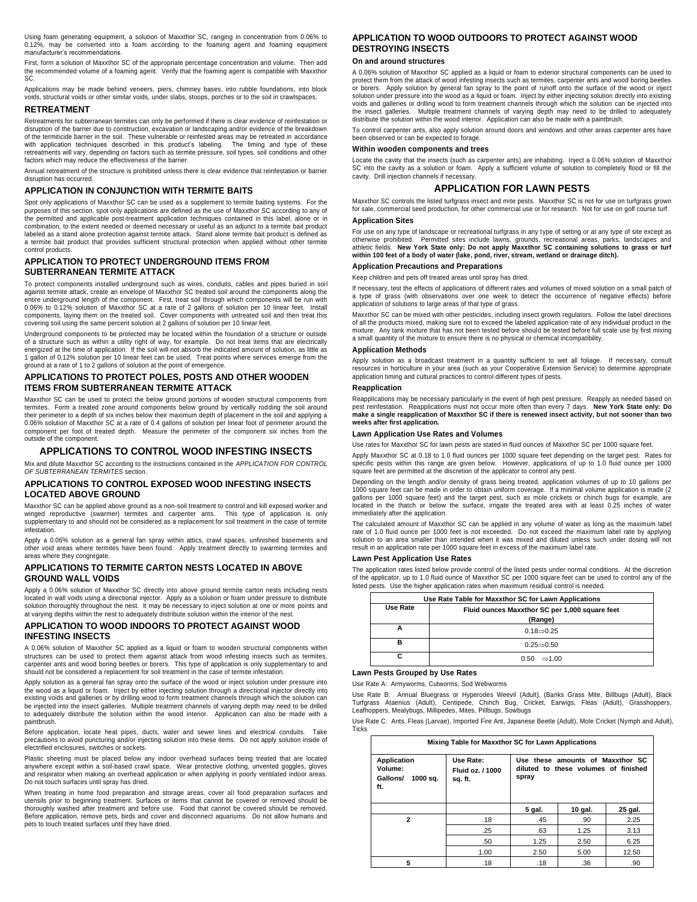Using foam generating equipment, a solution of Maxxthor SC, ranging in concentration from 0.06% to 0.12%, may be converted into a foam according to the foaming agent and foaming equipment manufacturer's recommendations.

First, form a solution of Maxxthor SC of the appropriate percentage concentration and volume. Then add the recommended volume of a foaming agent. Verify that the foaming agent is compatible with Maxxthor SC.

Applications may be made behind veneers, piers, chimney bases, into rubble foundations, into block voids, structural voids or other similar voids, under slabs, stoops, porches or to the soil in crawlspaces.

#### **RETREATMENT**

Retreatments for subterranean termites can only be performed if there is clear evidence of reinfestation or disruption of the barrier due to construction, excavation or landscaping and/or evidence of the breakdown of the termiticide barrier in the soil. These vulnerable or reinfested areas may be retreated in accordance with application techniques described in this product's labeling. The timing and type of these with application techniques described in this product's labeling. retreatments will vary, depending on factors such as termite pressure, soil types, soil conditions and other factors which may reduce the effectiveness of the barrier.

Annual retreatment of the structure is prohibited unless there is clear evidence that reinfestation or barrier disruption has occurred.

# **APPLICATION IN CONJUNCTION WITH TERMITE BAITS**

Spot only applications of Maxxthor SC can be used as a supplement to termite baiting systems. For the purposes of this section, spot only applications are defined as the use of Maxxthor SC according to any of the permitted and applicable post-treatment application techniques contained in this label, alone or in combination, to the extent needed or deemed necessary or useful as an adjunct to a termite bait product labeled as a stand alone protection against termite attack. Stand alone termite bait product is defined as a termite bait product that provides sufficient structural protection when applied without other termite control products.

# **APPLICATION TO PROTECT UNDERGROUND ITEMS FROM SUBTERRANEAN TERMITE ATTACK**

To protect components installed underground such as wires, conduits, cables and pipes buried in soil against termite attack, create an envelope of Maxxthor SC treated soil around the components along the entire underground length of the component. First, treat soil through which components will be run with 0.06% to 0.12% solution of Maxxthor SC at a rate of 2 gallons of solution per 10 linear feet. Install components, laying them on the treated soil. Cover components with untreated soil and then treat this covering soil using the same percent solution at 2 gallons of solution per 10 linear feet.

Underground components to be protected may be located within the foundation of a structure or outside of a structure such as within a utility right of way, for example. Do not treat items that are electrically energized at the time of application. If the soil will not absorb the indicated amount of solution, as little as 1 gallon of 0.12% solution per 10 linear feet can be used. Treat points where services emerge from the ground at a rate of 1 to 2 gallons of solution at the point of emergence.

# **APPLICATIONS TO PROTECT POLES, POSTS AND OTHER WOODEN ITEMS FROM SUBTERRANEAN TERMITE ATTACK**

Maxxthor SC can be used to protect the below ground portions of wooden structural components from termites. Form a treated zone around components below ground by vertically rodding the soil around their perimeter to a depth of six inches below their maximum depth of placement in the soil and applying a 0.06% solution of Maxxthor SC at a rate of 0.4 gallons of solution per linear foot of perimeter around the component per foot of treated depth. Measure the perimeter of the component six inches from the outside of the component.

#### **APPLICATIONS TO CONTROL WOOD INFESTING INSECTS**

Mix and dilute Maxxthor SC according to the instructions contained in the *APPLICATION FOR CONTROL OF SUBTERRANEAN TERMITES* section.

#### **APPLICATIONS TO CONTROL EXPOSED WOOD INFESTING INSECTS LOCATED ABOVE GROUND**

Maxxthor SC can be applied above ground as a non-soil treatment to control and kill exposed worker and winged reproductive (swarmer) termites and carpenter ants. This type of application is only supplementary to and should not be considered as a replacement for soil treatment in the case of termite infestation.

Apply a 0.06% solution as a general fan spray within attics, crawl spaces, unfinished basements and other void areas where termites have been found. Apply treatment directly to swarming termites and areas where they congregate.

# **APPLICATIONS TO TERMITE CARTON NESTS LOCATED IN ABOVE GROUND WALL VOIDS**

Apply a 0.06% solution of Maxxthor SC directly into above ground termite carton nests including nests located in wall voids using a directional injector. Apply as a solution or foam under pressure to distribute solution thoroughly throughout the nest. It may be necessary to inject solution at one or more points and at varying depths within the nest to adequately distribute solution within the interior of the nest.

# **APPLICATION TO WOOD INDOORS TO PROTECT AGAINST WOOD INFESTING INSECTS**

A 0.06% solution of Maxxthor SC applied as a liquid or foam to wooden structural components within structures can be used to protect them against attack from wood infesting insects such as termites, carpenter ants and wood boring beetles or borers. This type of application is only supplementary to and should not be considered a replacement for soil treatment in the case of termite infestation.

Apply solution as a general fan spray onto the surface of the wood or inject solution under pressure into the wood as a liquid or foam. Inject by either injecting solution through a directional injector directly into existing voids and galleries or by drilling wood to form treatment channels through which the solution can be injected into the insect galleries. Multiple treatment channels of varying depth may need to be drilled to adequately distribute the solution within the wood interior. Application can also be made with a paintbrush.

Before application, locate heat pipes, ducts, water and sewer lines and electrical conduits. Take precautions to avoid puncturing and/or injecting solution into these items. Do not apply solution inside of electrified enclosures, switches or sockets.

Plastic sheeting must be placed below any indoor overhead surfaces being treated that are located anywhere except within a soil-based crawl space. Wear protective clothing, unvented goggles, gloves and respirator when making an overhead application or when applying in poorly ventilated indoor areas. Do not touch surfaces until spray has dried.

When treating in home food preparation and storage areas, cover all food preparation surfaces and utensils prior to beginning treatment. Surfaces or items that cannot be covered or removed should be thoroughly washed after treatment and before use. Food that cannot be covered should be removed. Before application, remove pets, birds and cover and disconnect aquariums. Do not allow humans and pets to touch treated surfaces until they have dried.

# **APPLICATION TO WOOD OUTDOORS TO PROTECT AGAINST WOOD DESTROYING INSECTS**

# **On and around structures**

A 0.06% solution of Maxxthor SC applied as a liquid or foam to exterior structural components can be used to protect them from the attack of wood infesting insects such as termites, carpenter ants and wood boring beetles or borers. Apply solution by general fan spray to the point of runoff onto the surface of the wood or inject solution under pressure into the wood as a liquid or foam. Inject by either injecting solution directly into existing voids and galleries or drilling wood to form treatment channels through which the solution can be injected into the insect galleries. Multiple treatment channels of varying depth may need to be drilled to adequately distribute the solution within the wood interior. Application can also be made with a paintbrush.

To control carpenter ants, also apply solution around doors and windows and other areas carpenter ants have been observed or can be expected to forage.

#### **Within wooden components and trees**

Locate the cavity that the insects (such as carpenter ants) are inhabiting. Inject a 0.06% solution of Maxxthor SC into the cavity as a solution or foam. Apply a sufficient volume of solution to completely flood or fill the cavity. Drill injection channels if necessary.

# **APPLICATION FOR LAWN PESTS**

Maxxthor SC controls the listed turfgrass insect and mite pests. Maxxthor SC is not for use on turfgrass grown for sale, commercial seed production, for other commercial use or for research. Not for use on golf course turf. **Application Sites**

For use on any type of landscape or recreational turfgrass in any type of setting or at any type of site except as otherwise prohibited. Permitted sites include lawns, grounds, recreational areas, parks, landscapes and athletic fields. **New York State only: Do not apply Maxxthor SC containing solutions to grass or turf within 100 feet of a body of water (lake, pond, river, stream, wetland or drainage ditch).**

# **Application Precautions and Preparations**

Keep children and pets off treated areas until spray has dried.

If necessary, test the effects of applications of different rates and volumes of mixed solution on a small patch of a type of grass (with observations over one week to detect the occurrence of negative effects) before application of solutions to large areas of that type of grass.

Maxxthor SC can be mixed with other pesticides, including insect growth regulators. Follow the label directions<br>of all the products mixed, making sure not to exceed the labeled application rate of any individual product in mixture. Any tank mixture that has not been tested before should be tested before full scale use by first mixing a small quantity of the mixture to ensure there is no physical or chemical incompatibility

### **Application Methods**

Apply solution as a broadcast treatment in a quantity sufficient to wet all foliage. If necessary, consult resources in horticulture in your area (such as your Cooperative Extension Service) to determine appropriate application timing and cultural practices to control different types of pests.

#### **Reapplication**

Reapplications may be necessary particularly in the event of high pest pressure. Reapply as needed based on pest reinfestation. Reapplications must not occur more often than every 7 days. **New York State only: Do make a single reapplication of Maxxthor SC if there is renewed insect activity, but not sooner than two weeks after first application.** 

### **Lawn Application Use Rates and Volumes**

Use rates for Maxxthor SC for lawn pests are stated in fluid ounces of Maxxthor SC per 1000 square feet.

Apply Maxxthor SC at 0.18 to 1.0 fluid ounces per 1000 square feet depending on the target pest. Rates for specific pests within this range are given below. However, applications of up to 1.0 fluid ounce per 1000 square feet are permitted at the discretion of the applicator to control any pest.

Depending on the length and/or density of grass being treated, application volumes of up to 10 gallons per 1000 square feet can be made in order to obtain uniform coverage. If a minimal volume application is made (2 gallons per 1000 square feet) and the target pest, such as mole crickets or chinch bugs for example, are located in the thatch or below the surface, irrigate the treated area with at least 0.25 inches of water immediately after the application.

The calculated amount of Maxxthor SC can be applied in any volume of water as long as the maximum label rate of 1.0 fluid ounce per 1000 feet is not exceeded. Do not exceed the maximum label rate by applying solution to an area smaller than intended when it was mixed and diluted unless such under dosing will not result in an application rate per 1000 square feet in excess of the maximum label rate.

#### **Lawn Pest Application Use Rates**

The application rates listed below provide control of the listed pests under normal conditions. At the discretion of the applicator, up to 1.0 fluid ounce of Maxxthor SC per 1000 square feet can be used to control any of the listed pests. Use the higher application rates when maximum residual control is needed.

| Use Rate Table for Maxxthor SC for Lawn Applications |                                                |  |  |
|------------------------------------------------------|------------------------------------------------|--|--|
| Use Rate                                             | Fluid ounces Maxxthor SC per 1,000 square feet |  |  |
|                                                      | (Range)                                        |  |  |
|                                                      | $0.18 \rightarrow 0.25$                        |  |  |
| в                                                    | $0.25 \rightarrow 0.50$                        |  |  |
| $\Rightarrow$ 1.00<br>0.50                           |                                                |  |  |

#### **Lawn Pests Grouped by Use Rates**

Use Rate A: Armyworms, Cutworms, Sod Webworms

Use Rate B: Annual Bluegrass or Hyperodes Weevil (Adult), (Banks Grass Mite, Billbugs (Adult), Black Turfgrass Ataenius (Adult), Centipede, Chinch Bug, Cricket, Earwigs, Fleas (Adult), Grasshoppers,<br>Leafhoppers,Mealybugs,Millipedes,Mites,Pillbugs,Sowbugs

Use Rate C: Ants, Fleas (Larvae), Imported Fire Ant, Japanese Beetle (Adult), Mole Cricket (Nymph and Adult), **Ticks** 

| Mixing Table for Maxxthor SC for Lawn Applications           |                                          |                                                                                   |         |         |
|--------------------------------------------------------------|------------------------------------------|-----------------------------------------------------------------------------------|---------|---------|
| <b>Application</b><br>Volume:<br>1000 sq.<br>Gallons/<br>ft. | Use Rate:<br>Fluid oz. / 1000<br>sq. ft. | Use these amounts of Maxxthor SC<br>diluted to these volumes of finished<br>spray |         |         |
|                                                              |                                          | 5 gal.                                                                            | 10 gal. | 25 gal. |
| $\mathbf{2}$                                                 | .18                                      | .45                                                                               | .90     | 2.25    |
|                                                              | .25                                      | .63                                                                               | 1.25    | 3.13    |
|                                                              | .50                                      | 1.25                                                                              | 2.50    | 6.25    |
|                                                              | 1.00                                     | 2.50                                                                              | 5.00    | 12.50   |
| 5                                                            | .18                                      | .18                                                                               | .36     | .90     |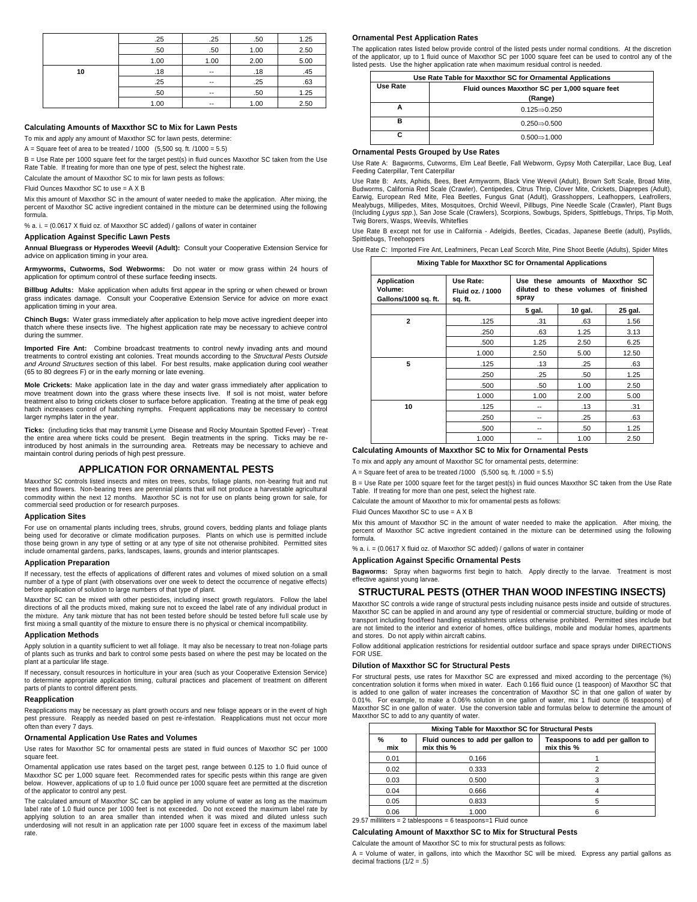|    | .25  | .25   | .50  | 1.25 |
|----|------|-------|------|------|
|    | .50  | .50   | 1.00 | 2.50 |
|    | 1.00 | 1.00  | 2.00 | 5.00 |
| 10 | .18  | $- -$ | .18  | .45  |
|    | .25  | $- -$ | .25  | .63  |
|    | .50  | $- -$ | .50  | 1.25 |
|    | 1.00 | --    | 1.00 | 2.50 |

#### **Calculating Amounts of Maxxthor SC to Mix for Lawn Pests**

To mix and apply any amount of Maxxthor SC for lawn pests, determine:

A = Square feet of area to be treated  $/$  1000 (5,500 sq. ft.  $/1000 = 5.5$ )

B = Use Rate per 1000 square feet for the target pest(s) in fluid ounces Maxxthor SC taken from the Use Rate Table. If treating for more than one type of pest, select the highest rate.

Calculate the amount of Maxxthor SC to mix for lawn pests as follows:

Fluid Ounces Maxxthor SC to use = A X B

Mix this amount of Maxxthor SC in the amount of water needed to make the application. After mixing, the percent of Maxxthor SC active ingredient contained in the mixture can be determined using the following formula.

% a. i. = (0.0617 X fluid oz. of Maxxthor SC added) / gallons of water in container

#### **Application Against Specific Lawn Pests**

**Annual Bluegrass or Hyperodes Weevil (Adult):** Consult your Cooperative Extension Service for advice on application timing in your area.

**Armyworms, Cutworms, Sod Webworms:** Do not water or mow grass within 24 hours of application for optimum control of these surface feeding insects.

**Billbug Adults:** Make application when adults first appear in the spring or when chewed or brown grass indicates damage. Consult your Cooperative Extension Service for advice on more exact application timing in your area.

**Chinch Bugs:** Water grass immediately after application to help move active ingredient deeper into thatch where these insects live. The highest application rate may be necessary to achieve control during the summer.

**Imported Fire Ant:** Combine broadcast treatments to control newly invading ants and mound treatments to control existing ant colonies. Treat mounds according to the *Structural Pests Outside and Around Structures* section of this label. For best results, make application during cool weather (65 to 80 degrees F) or in the early morning or late evening.

**Mole Crickets:** Make application late in the day and water grass immediately after application to move treatment down into the grass where these insects live. If soil is not moist, water before treatment also to bring crickets closer to surface before application. Treating at the time of peak egg hatch increases control of hatching nymphs. Frequent applications may be necessary to control larger nymphs later in the year.

**Ticks:** (including ticks that may transmit Lyme Disease and Rocky Mountain Spotted Fever) - Treat the entire area where ticks could be present. Begin treatments in the spring. Ticks may be reintroduced by host animals in the surrounding area. Retreats may be necessary to achieve and maintain control during periods of high pest pressure.

# **APPLICATION FOR ORNAMENTAL PESTS**

Maxxthor SC controls listed insects and mites on trees, scrubs, foliage plants, non-bearing fruit and nut trees and flowers. Non-bearing trees are perennial plants that will not produce a harvestable agricultural commodity within the next 12 months. Maxxthor SC is not for use on plants being grown for sale, for commercial seed production or for research purposes.

#### **Application Sites**

For use on ornamental plants including trees, shrubs, ground covers, bedding plants and foliage plants being used for decorative or climate modification purposes. Plants on which use is permitted include those being grown in any type of setting or at any type of site not otherwise prohibited. Permitted sites include ornamental gardens, parks, landscapes, lawns, grounds and interior plantscapes.

#### **Application Preparation**

If necessary, test the effects of applications of different rates and volumes of mixed solution on a small number of a type of plant (with observations over one week to detect the occurrence of negative effects) before application of solution to large numbers of that type of plant.

Maxxthor SC can be mixed with other pesticides, including insect growth regulators. Follow the label directions of all the products mixed, making sure not to exceed the label rate of any individual product in the mixture. Any tank mixture that has not been tested before should be tested before full scale use by first mixing a small quantity of the mixture to ensure there is no physical or chemical incompatibility.

#### **Application Methods**

Apply solution in a quantity sufficient to wet all foliage. It may also be necessary to treat non-foliage parts of plants such as trunks and bark to control some pests based on where the pest may be located on the plant at a particular life stage.

If necessary, consult resources in horticulture in your area (such as your Cooperative Extension Service) to determine appropriate application timing, cultural practices and placement of treatment on different parts of plants to control different pests.

# **Reapplication**

Reapplications may be necessary as plant growth occurs and new foliage appears or in the event of high pest pressure. Reapply as needed based on pest re-infestation. Reapplications must not occur more often than every 7 days.

#### **Ornamental Application Use Rates and Volumes**

Use rates for Maxxthor SC for ornamental pests are stated in fluid ounces of Maxxthor SC per 1000 square feet.

Ornamental application use rates based on the target pest, range between 0.125 to 1.0 fluid ounce of Maxxthor SC per 1,000 square feet. Recommended rates for specific pests within this range are given below. However, applications of up to 1.0 fluid ounce per 1000 square feet are permitted at the discretion of the applicator to control any pest.

The calculated amount of Maxxthor SC can be applied in any volume of water as long as the maximum label rate of 1.0 fluid ounce per 1000 feet is not exceeded. Do not exceed the maximum label rate by applying solution to an area smaller than intended when it was mixed and diluted unless such underdosing will not result in an application rate per 1000 square feet in excess of the maximum label rate.

#### **Ornamental Pest Application Rates**

The application rates listed below provide control of the listed pests under normal conditions. At the discretion of the applicator, up to 1 fluid ounce of Maxxthor SC per 1000 square feet can be used to control any of the listed pests. Use the higher application rate when maximum residual control is needed.

| Use Rate Table for Maxxthor SC for Ornamental Applications |                                                |  |
|------------------------------------------------------------|------------------------------------------------|--|
| Use Rate                                                   | Fluid ounces Maxxthor SC per 1,000 square feet |  |
| (Range)                                                    |                                                |  |
|                                                            | $0.125 \rightarrow 0.250$                      |  |
| в                                                          | $0.250 \rightarrow 0.500$                      |  |
|                                                            | $0.500 \rightarrow 1.000$                      |  |

#### **Ornamental Pests Grouped by Use Rates**

Use Rate A: Bagworms, Cutworms, Elm Leaf Beetle, Fall Webworm, Gypsy Moth Caterpillar, Lace Bug, Leaf Feeding Caterpillar, Tent Caterpillar

Use Rate B: Ants, Aphids, Bees, Beet Armyworm, Black Vine Weevil (Adult), Brown Soft Scale, Broad Mite, Budworms, California Red Scale (Crawler), Centipedes, Citrus Thrip, Clover Mite, Crickets, Diaprepes (Adult), Earwig, European Red Mite, Flea Beetles, Fungus Gnat (Adult), Grasshoppers, Leafhoppers, Leafrollers,<br>Mealybugs, Millipedes, Mites, Mosquitoes, Orchid Weevil, Pillbugs, Pine Needle Scale (Crawler), Plant Bugs (Including *Lygus spp*.), San Jose Scale (Crawlers), Scorpions, Sowbugs, Spiders, Spittlebugs, Thrips, Tip Moth, Twig Borers, Wasps, Weevils, Whiteflies

Use Rate B except not for use in California - Adelgids, Beetles, Cicadas, Japanese Beetle (adult), Psyllids, Spittlebugs, Treehoppers

Use Rate C: Imported Fire Ant, Leafminers, Pecan Leaf Scorch Mite, Pine Shoot Beetle (Adults), Spider Mites

| Mixing Table for Maxxthor SC for Ornamental Applications |                                          |                                                                                   |         |         |
|----------------------------------------------------------|------------------------------------------|-----------------------------------------------------------------------------------|---------|---------|
| Application<br>Volume:<br>Gallons/1000 sq. ft.           | Use Rate:<br>Fluid oz. / 1000<br>sq. ft. | Use these amounts of Maxxthor SC<br>diluted to these volumes of finished<br>spray |         |         |
|                                                          |                                          | 5 gal.                                                                            | 10 gal. | 25 gal. |
| $\mathbf{2}$                                             | .125                                     | .31                                                                               | .63     | 1.56    |
|                                                          | .250                                     | .63                                                                               | 1.25    | 3.13    |
|                                                          | .500                                     | 1.25                                                                              | 2.50    | 6.25    |
|                                                          | 1.000                                    | 2.50                                                                              | 5.00    | 12.50   |
| 5                                                        | .125                                     | .13                                                                               | .25     | .63     |
|                                                          | .250                                     | .25                                                                               | .50     | 1.25    |
|                                                          | .500                                     | .50                                                                               | 1.00    | 2.50    |
|                                                          | 1.000                                    | 1.00                                                                              | 2.00    | 5.00    |
| 10                                                       | .125                                     | --                                                                                | .13     | .31     |
|                                                          | .250                                     | --                                                                                | .25     | .63     |
|                                                          | .500                                     | --                                                                                | .50     | 1.25    |
|                                                          | 1.000                                    |                                                                                   | 1.00    | 2.50    |

### **Calculating Amounts of Maxxthor SC to Mix for Ornamental Pests**

To mix and apply any amount of Maxxthor SC for ornamental pests, determine:

A = Square feet of area to be treated  $/1000$  (5,500 sq. ft.  $/1000 = 5.5$ )

B = Use Rate per 1000 square feet for the target pest(s) in fluid ounces Maxxthor SC taken from the Use Rate Table. If treating for more than one pest, select the highest rate.

Calculate the amount of Maxxthor to mix for ornamental pests as follows:

Fluid Ounces Maxxthor SC to use = A X B

Mix this amount of Maxxthor SC in the amount of water needed to make the application. After mixing, the percent of Maxxthor SC active ingredient contained in the mixture can be determined using the following formula.

% a. i.  $=$  (0.0617 X fluid oz. of Maxxthor SC added) / gallons of water in container

**Application Against Specific Ornamental Pests**

**Bagworms:** Spray when bagworms first begin to hatch. Apply directly to the larvae. Treatment is most effective against young larvae.

# **STRUCTURAL PESTS (OTHER THAN WOOD INFESTING INSECTS)**

Maxxthor SC controls a wide range of structural pests including nuisance pests inside and outside of structures. Maxxthor SC can be applied in and around any type of residential or commercial structure, building or mode of transport including food/feed handling establishments unless otherwise prohibited. Permitted sites include but are not limited to the interior and exterior of homes, office buildings, mobile and modular homes, apartments and stores. Do not apply within aircraft cabins.

Follow additional application restrictions for residential outdoor surface and space sprays under DIRECTIONS FOR USE.

#### **Dilution of Maxxthor SC for Structural Pests**

For structural pests, use rates for Maxxthor SC are expressed and mixed according to the percentage (%) concentration solution it forms when mixed in water. Each 0.166 fluid ounce (1 teaspoon) of Maxxthor SC that is added to one gallon of water increases the concentration of Maxxthor SC in that one gallon of water by 0.01%. For example, to make a 0.06% solution in one gallon of water, mix 1 fluid ounce (6 teaspoons) of Maxxthor SC in one gallon of water. Use the conversion table and formulas below to determine the amount of Maxxthor SC to add to any quantity of water.

|                | Mixing Table for Maxxthor SC for Structural Pests |                                                 |                                              |  |
|----------------|---------------------------------------------------|-------------------------------------------------|----------------------------------------------|--|
| %<br>to<br>mix |                                                   | Fluid ounces to add per gallon to<br>mix this % | Teaspoons to add per gallon to<br>mix this % |  |
|                | 0.01                                              | 0.166                                           |                                              |  |
|                | 0.02                                              | 0.333                                           |                                              |  |
|                | 0.03                                              | 0.500                                           |                                              |  |
|                | 0.04                                              | 0.666                                           |                                              |  |
|                | 0.05                                              | 0.833                                           |                                              |  |
|                | 0.06                                              | 1.000                                           |                                              |  |

29.57 milliliters = 2 tablespoons = 6 teaspoons=1 Fluid ounce

#### **Calculating Amount of Maxxthor SC to Mix for Structural Pests**

Calculate the amount of Maxxthor SC to mix for structural pests as follows:

A = Volume of water, in gallons, into which the Maxxthor SC will be mixed. Express any partial gallons as decimal fractions  $(1/2 = .5)$